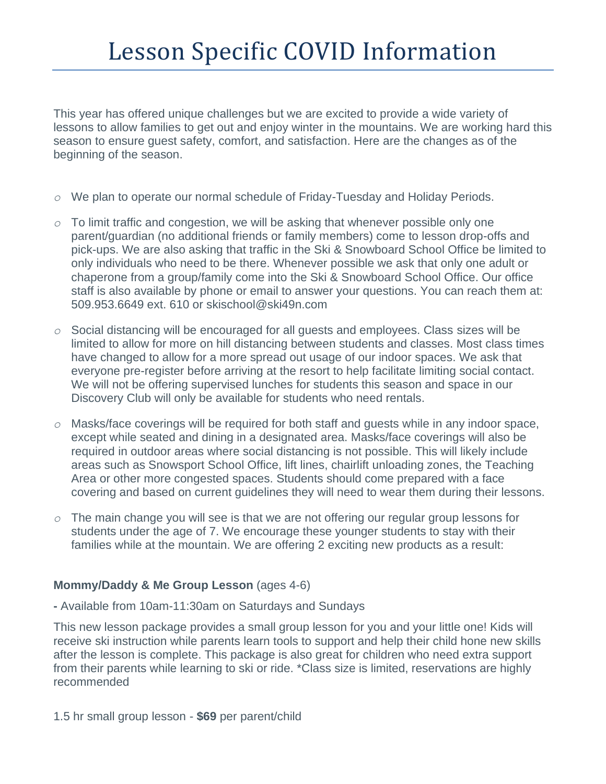This year has offered unique challenges but we are excited to provide a wide variety of lessons to allow families to get out and enjoy winter in the mountains. We are working hard this season to ensure guest safety, comfort, and satisfaction. Here are the changes as of the beginning of the season.

- *o* We plan to operate our normal schedule of Friday-Tuesday and Holiday Periods.
- *o* To limit traffic and congestion, we will be asking that whenever possible only one parent/guardian (no additional friends or family members) come to lesson drop-offs and pick-ups. We are also asking that traffic in the Ski & Snowboard School Office be limited to only individuals who need to be there. Whenever possible we ask that only one adult or chaperone from a group/family come into the Ski & Snowboard School Office. Our office staff is also available by phone or email to answer your questions. You can reach them at: 509.953.6649 ext. 610 or skischool@ski49n.com
- *o* Social distancing will be encouraged for all guests and employees. Class sizes will be limited to allow for more on hill distancing between students and classes. Most class times have changed to allow for a more spread out usage of our indoor spaces. We ask that everyone pre-register before arriving at the resort to help facilitate limiting social contact. We will not be offering supervised lunches for students this season and space in our Discovery Club will only be available for students who need rentals.
- *o* Masks/face coverings will be required for both staff and guests while in any indoor space, except while seated and dining in a designated area. Masks/face coverings will also be required in outdoor areas where social distancing is not possible. This will likely include areas such as Snowsport School Office, lift lines, chairlift unloading zones, the Teaching Area or other more congested spaces. Students should come prepared with a face covering and based on current guidelines they will need to wear them during their lessons.
- *o* The main change you will see is that we are not offering our regular group lessons for students under the age of 7. We encourage these younger students to stay with their families while at the mountain. We are offering 2 exciting new products as a result:

## **Mommy/Daddy & Me Group Lesson** (ages 4-6)

**-** Available from 10am-11:30am on Saturdays and Sundays

This new lesson package provides a small group lesson for you and your little one! Kids will receive ski instruction while parents learn tools to support and help their child hone new skills after the lesson is complete. This package is also great for children who need extra support from their parents while learning to ski or ride. \*Class size is limited, reservations are highly recommended